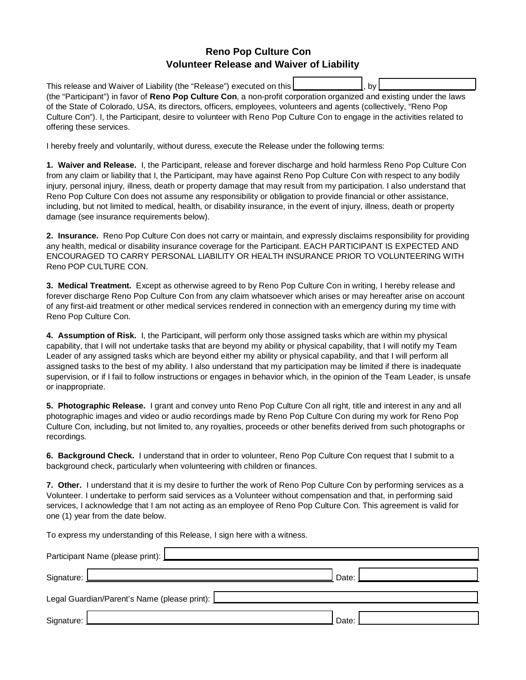## **Reno Pop Culture Con Volunteer Release and Waiver of Liability**

This release and Waiver of Liability (the "Release") executed on this by (the "Participant") in favor of Reno Pop Culture Con, a non-profit corporation organized and existing under the laws of the State of Colorado, USA, its directors, officers, employees, volunteers and agents (collectively, "Reno Pop Culture Con"). I, the Participant, desire to volunteer with Reno Pop Culture Con to engage in the activities related to offering these services.

I hereby freely and voluntarily, without duress, execute the Release under the following terms:

1. Waiver and Release. I, the Participant, release and forever discharge and hold harmless Reno Pop Culture Con from any claim or liability that I, the Participant, may have against Reno Pop Culture Con with respect to any bodily iniury, personal injury, illness, death or property damage that may result from my participation. I also understand that Reno Pop Culture Con does not assume any responsibility or obligation to provide financial or other assistance, including, but not limited to medical, health, or disability insurance, in the event of injury, illness, death or property damage (see insurance requirements below).

2. Insurance. Reno Pop Culture Con does not carry or maintain, and expressly disclaims responsibility for providing any health, medical or disability insurance coverage for the Participant. EACH PARTICIPANT IS EXPECTED AND ENCOURAGED TO CARRY PERSONAL LIABILITY OR HEALTH INSURANCE PRIOR TO VOLUNTEERING WITH Reno POP CULTURE CON.

3. Medical Treatment. Except as otherwise agreed to by Reno Pop Culture Con in writing, I hereby release and forever discharge Reno Pop Culture Con from any claim whatsoever which arises or may hereafter arise on account of any first-aid treatment or other medical services rendered in connection with an emergency during my time with Reno Pop Culture Con.

4. Assumption of Risk. I, the Participant, will perform only those assigned tasks which are within my physical capability, that I will not undertake tasks that are beyond my ability or physical capability, that I will notify my Team Leader of any assigned tasks which are beyond either my ability or physical capability, and that I will perform all assigned tasks to the best of my ability. I also understand that my participation may be limited if there is inadequate supervision, or if I fail to follow instructions or engages in behavior which, in the opinion of the Team Leader, is unsafe or inappropriate.

5. Photographic Release. I grant and convey unto Reno Pop Culture Con all right, title and interest in any and all photographic images and video or audio recordings made by Reno Pop Culture Con during my work for Reno Pop Culture Con, including, but not limited to, any royalties, proceeds or other benefits derived from such photographs or recordings.

6. Background Check. I understand that in order to volunteer, Reno Pop Culture Con request that I submit to a background check, particularly when volunteering with children or finances.

7. Other. I understand that it is my desire to further the work of Reno Pop Culture Con by performing services as a Volunteer. I undertake to perform said services as a Volunteer without compensation and that, in performing said services, I acknowledge that I am not acting as an employee of Reno Pop Culture Con. This agreement is valid for one (1) year from the date below.

To express my understanding of this Release, I sign here with a witness.

| Participant Name (please print): <b>Lesingle 2014</b>                                                                                                                                                                                |         |  |  |
|--------------------------------------------------------------------------------------------------------------------------------------------------------------------------------------------------------------------------------------|---------|--|--|
| Signature: <u>Les and and a series of the series of the series of the series of the series of the series of the series of the series of the series of the series of the series of the series of the series of the series of the </u> | Date: I |  |  |
| Legal Guardian/Parent's Name (please print): Lease Legal Guardian Medicines Control of the United States of the                                                                                                                      |         |  |  |
| Signature:                                                                                                                                                                                                                           | Date:   |  |  |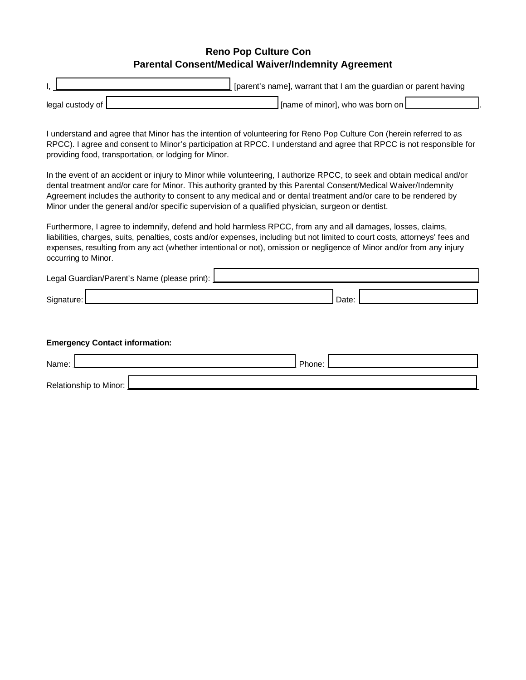## **Reno Pop Culture Con Parental Consent/Medical Waiver/Indemnity Agreement**

|                    | [fearent's name], warrant that I am the guardian or parent having |
|--------------------|-------------------------------------------------------------------|
| legal custody of [ | $\rfloor$ [name of minor], who was born on $\lfloor$              |

I understand and agree that Minor has the intention of volunteering for Reno Pop Culture Con (herein referred to as RPCC). I agree and consent to Minor's participation at RPCC. I understand and agree that RPCC is not responsible for providing food, transportation, or lodging for Minor.

In the event of an accident or injury to Minor while volunteering, I authorize RPCC, to seek and obtain medical and/or dental treatment and/or care for Minor. This authority granted by this Parental Consent/Medical Waiver/Indemnity Agreement includes the authority to consent to any medical and or dental treatment and/or care to be rendered by Minor under the general and/or specific supervision of a qualified physician, surgeon or dentist.

Furthermore, I agree to indemnify, defend and hold harmless RPCC, from any and all damages, losses, claims, liabilities, charges, suits, penalties, costs and/or expenses, including but not limited to court costs, attorneys' fees and expenses, resulting from any act (whether intentional or not), omission or negligence of Minor and/or from any injury occurring to Minor.

| Legal Guardian/Parent's Name (please print): L |  |  |      |  |
|------------------------------------------------|--|--|------|--|
| Signature:                                     |  |  | Date |  |

|  |  | <b>Emergency Contact information:</b> |
|--|--|---------------------------------------|
|--|--|---------------------------------------|

| Name:                  | Phone: |  |
|------------------------|--------|--|
| Relationship to Minor: |        |  |